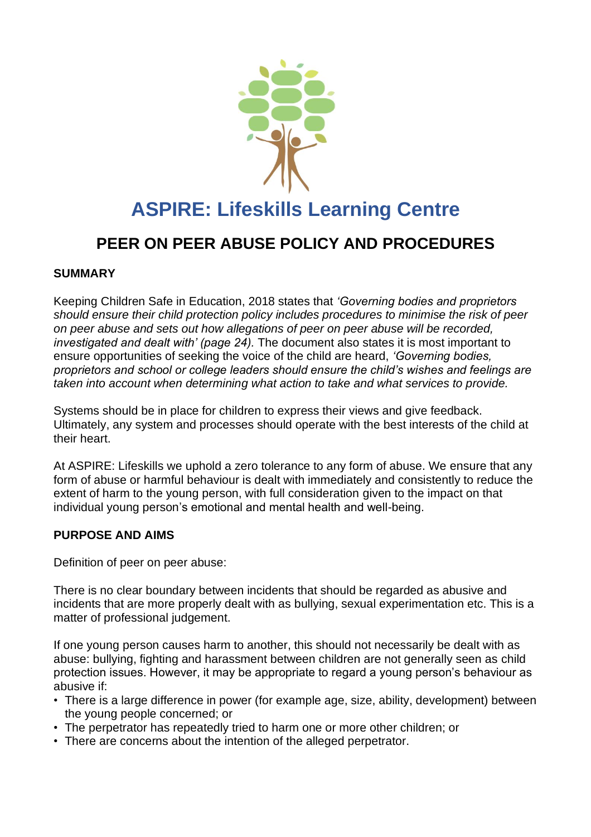

# **ASPIRE: Lifeskills Learning Centre**

# **PEER ON PEER ABUSE POLICY AND PROCEDURES**

#### **SUMMARY**

Keeping Children Safe in Education, 2018 states that *'Governing bodies and proprietors should ensure their child protection policy includes procedures to minimise the risk of peer on peer abuse and sets out how allegations of peer on peer abuse will be recorded, investigated and dealt with' (page 24).* The document also states it is most important to ensure opportunities of seeking the voice of the child are heard, *'Governing bodies, proprietors and school or college leaders should ensure the child's wishes and feelings are taken into account when determining what action to take and what services to provide.* 

Systems should be in place for children to express their views and give feedback. Ultimately, any system and processes should operate with the best interests of the child at their heart.

At ASPIRE: Lifeskills we uphold a zero tolerance to any form of abuse. We ensure that any form of abuse or harmful behaviour is dealt with immediately and consistently to reduce the extent of harm to the young person, with full consideration given to the impact on that individual young person's emotional and mental health and well-being.

#### **PURPOSE AND AIMS**

Definition of peer on peer abuse:

There is no clear boundary between incidents that should be regarded as abusive and incidents that are more properly dealt with as bullying, sexual experimentation etc. This is a matter of professional judgement.

If one young person causes harm to another, this should not necessarily be dealt with as abuse: bullying, fighting and harassment between children are not generally seen as child protection issues. However, it may be appropriate to regard a young person's behaviour as abusive if:

- There is a large difference in power (for example age, size, ability, development) between the young people concerned; or
- The perpetrator has repeatedly tried to harm one or more other children; or
- There are concerns about the intention of the alleged perpetrator.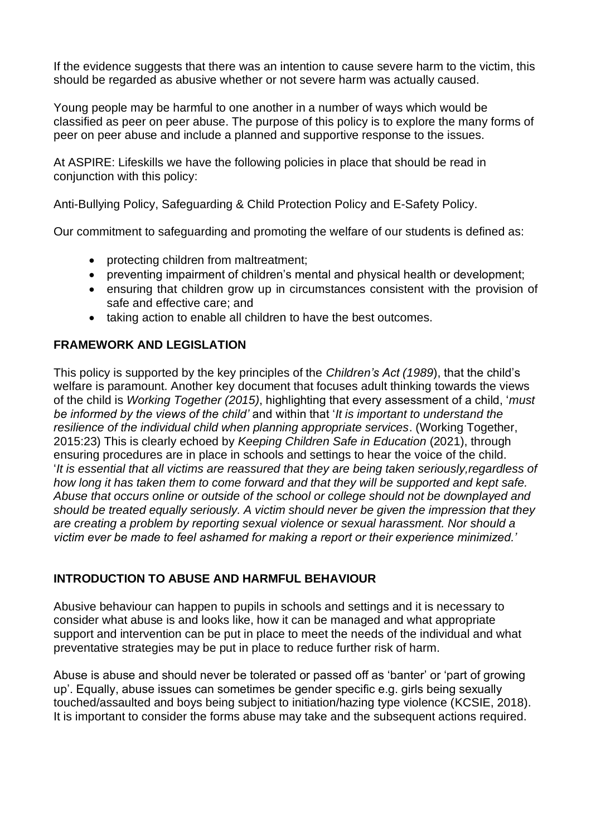If the evidence suggests that there was an intention to cause severe harm to the victim, this should be regarded as abusive whether or not severe harm was actually caused.

Young people may be harmful to one another in a number of ways which would be classified as peer on peer abuse. The purpose of this policy is to explore the many forms of peer on peer abuse and include a planned and supportive response to the issues.

At ASPIRE: Lifeskills we have the following policies in place that should be read in conjunction with this policy:

Anti-Bullying Policy, Safeguarding & Child Protection Policy and E-Safety Policy.

Our commitment to safeguarding and promoting the welfare of our students is defined as:

- protecting children from maltreatment;
- preventing impairment of children's mental and physical health or development;
- ensuring that children grow up in circumstances consistent with the provision of safe and effective care; and
- taking action to enable all children to have the best outcomes.

#### **FRAMEWORK AND LEGISLATION**

This policy is supported by the key principles of the *Children's Act (1989*), that the child's welfare is paramount. Another key document that focuses adult thinking towards the views of the child is *Working Together (2015)*, highlighting that every assessment of a child, '*must be informed by the views of the child'* and within that '*It is important to understand the resilience of the individual child when planning appropriate services*. (Working Together, 2015:23) This is clearly echoed by *Keeping Children Safe in Education* (2021), through ensuring procedures are in place in schools and settings to hear the voice of the child. '*It is essential that all victims are reassured that they are being taken seriously,regardless of how long it has taken them to come forward and that they will be supported and kept safe. Abuse that occurs online or outside of the school or college should not be downplayed and should be treated equally seriously. A victim should never be given the impression that they are creating a problem by reporting sexual violence or sexual harassment. Nor should a victim ever be made to feel ashamed for making a report or their experience minimized.'*

# **INTRODUCTION TO ABUSE AND HARMFUL BEHAVIOUR**

Abusive behaviour can happen to pupils in schools and settings and it is necessary to consider what abuse is and looks like, how it can be managed and what appropriate support and intervention can be put in place to meet the needs of the individual and what preventative strategies may be put in place to reduce further risk of harm.

Abuse is abuse and should never be tolerated or passed off as 'banter' or 'part of growing up'. Equally, abuse issues can sometimes be gender specific e.g. girls being sexually touched/assaulted and boys being subject to initiation/hazing type violence (KCSIE, 2018). It is important to consider the forms abuse may take and the subsequent actions required.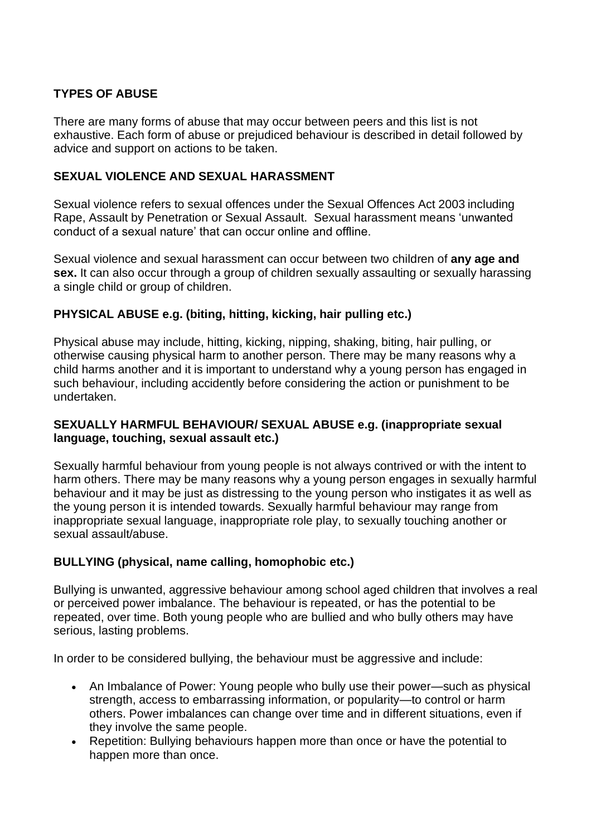# **TYPES OF ABUSE**

There are many forms of abuse that may occur between peers and this list is not exhaustive. Each form of abuse or prejudiced behaviour is described in detail followed by advice and support on actions to be taken.

### **SEXUAL VIOLENCE AND SEXUAL HARASSMENT**

Sexual violence refers to sexual offences under the Sexual Offences Act 2003 including Rape, Assault by Penetration or Sexual Assault. Sexual harassment means 'unwanted conduct of a sexual nature' that can occur online and offline.

Sexual violence and sexual harassment can occur between two children of **any age and sex.** It can also occur through a group of children sexually assaulting or sexually harassing a single child or group of children.

#### **PHYSICAL ABUSE e.g. (biting, hitting, kicking, hair pulling etc.)**

Physical abuse may include, hitting, kicking, nipping, shaking, biting, hair pulling, or otherwise causing physical harm to another person. There may be many reasons why a child harms another and it is important to understand why a young person has engaged in such behaviour, including accidently before considering the action or punishment to be undertaken.

#### **SEXUALLY HARMFUL BEHAVIOUR/ SEXUAL ABUSE e.g. (inappropriate sexual language, touching, sexual assault etc.)**

Sexually harmful behaviour from young people is not always contrived or with the intent to harm others. There may be many reasons why a young person engages in sexually harmful behaviour and it may be just as distressing to the young person who instigates it as well as the young person it is intended towards. Sexually harmful behaviour may range from inappropriate sexual language, inappropriate role play, to sexually touching another or sexual assault/abuse.

# **BULLYING (physical, name calling, homophobic etc.)**

Bullying is unwanted, aggressive behaviour among school aged children that involves a real or perceived power imbalance. The behaviour is repeated, or has the potential to be repeated, over time. Both young people who are bullied and who bully others may have serious, lasting problems.

In order to be considered bullying, the behaviour must be aggressive and include:

- An Imbalance of Power: Young people who bully use their power—such as physical strength, access to embarrassing information, or popularity—to control or harm others. Power imbalances can change over time and in different situations, even if they involve the same people.
- Repetition: Bullying behaviours happen more than once or have the potential to happen more than once.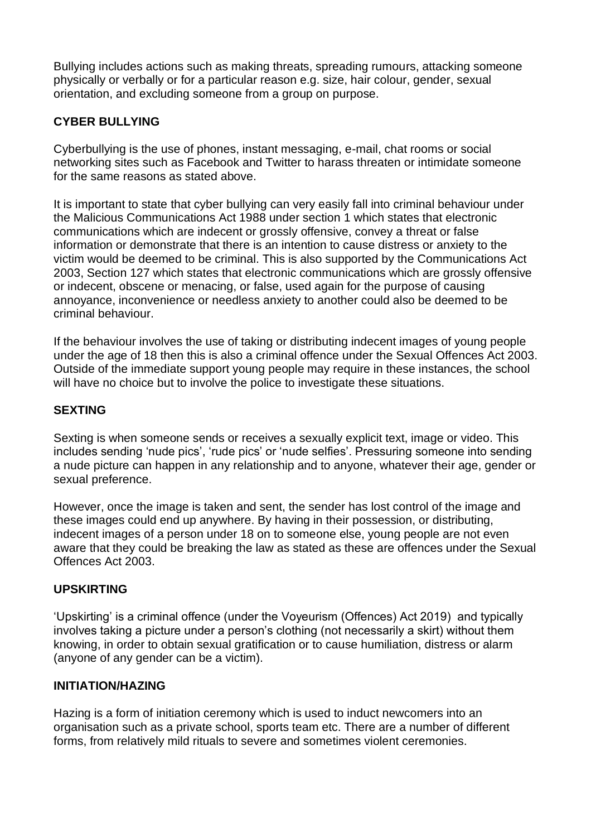Bullying includes actions such as making threats, spreading rumours, attacking someone physically or verbally or for a particular reason e.g. size, hair colour, gender, sexual orientation, and excluding someone from a group on purpose.

# **CYBER BULLYING**

Cyberbullying is the use of phones, instant messaging, e-mail, chat rooms or social networking sites such as Facebook and Twitter to harass threaten or intimidate someone for the same reasons as stated above.

It is important to state that cyber bullying can very easily fall into criminal behaviour under the Malicious Communications Act 1988 under section 1 which states that electronic communications which are indecent or grossly offensive, convey a threat or false information or demonstrate that there is an intention to cause distress or anxiety to the victim would be deemed to be criminal. This is also supported by the Communications Act 2003, Section 127 which states that electronic communications which are grossly offensive or indecent, obscene or menacing, or false, used again for the purpose of causing annoyance, inconvenience or needless anxiety to another could also be deemed to be criminal behaviour.

If the behaviour involves the use of taking or distributing indecent images of young people under the age of 18 then this is also a criminal offence under the Sexual Offences Act 2003. Outside of the immediate support young people may require in these instances, the school will have no choice but to involve the police to investigate these situations.

# **SEXTING**

Sexting is when someone sends or receives a sexually explicit text, image or video. This includes sending 'nude pics', 'rude pics' or 'nude selfies'. Pressuring someone into sending a nude picture can happen in any relationship and to anyone, whatever their age, gender or sexual preference.

However, once the image is taken and sent, the sender has lost control of the image and these images could end up anywhere. By having in their possession, or distributing, indecent images of a person under 18 on to someone else, young people are not even aware that they could be breaking the law as stated as these are offences under the Sexual Offences Act 2003.

# **UPSKIRTING**

'Upskirting' is a criminal offence (under the Voyeurism (Offences) Act 2019) and typically involves taking a picture under a person's clothing (not necessarily a skirt) without them knowing, in order to obtain sexual gratification or to cause humiliation, distress or alarm (anyone of any gender can be a victim).

#### **INITIATION/HAZING**

Hazing is a form of initiation ceremony which is used to induct newcomers into an organisation such as a private school, sports team etc. There are a number of different forms, from relatively mild rituals to severe and sometimes violent ceremonies.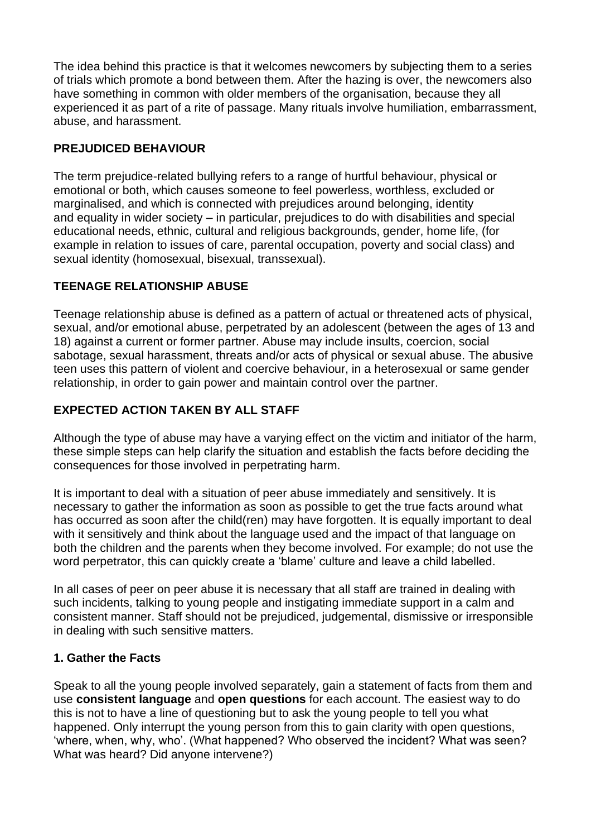The idea behind this practice is that it welcomes newcomers by subjecting them to a series of trials which promote a bond between them. After the hazing is over, the newcomers also have something in common with older members of the organisation, because they all experienced it as part of a rite of passage. Many rituals involve humiliation, embarrassment, abuse, and harassment.

# **PREJUDICED BEHAVIOUR**

The term prejudice-related bullying refers to a range of hurtful behaviour, physical or emotional or both, which causes someone to feel powerless, worthless, excluded or marginalised, and which is connected with prejudices around belonging, identity and equality in wider society – in particular, prejudices to do with disabilities and special educational needs, ethnic, cultural and religious backgrounds, gender, home life, (for example in relation to issues of care, parental occupation, poverty and social class) and sexual identity (homosexual, bisexual, transsexual).

# **TEENAGE RELATIONSHIP ABUSE**

Teenage relationship abuse is defined as a pattern of actual or threatened acts of physical, sexual, and/or emotional abuse, perpetrated by an adolescent (between the ages of 13 and 18) against a current or former partner. Abuse may include insults, coercion, social sabotage, sexual harassment, threats and/or acts of physical or sexual abuse. The abusive teen uses this pattern of violent and coercive behaviour, in a heterosexual or same gender relationship, in order to gain power and maintain control over the partner.

# **EXPECTED ACTION TAKEN BY ALL STAFF**

Although the type of abuse may have a varying effect on the victim and initiator of the harm, these simple steps can help clarify the situation and establish the facts before deciding the consequences for those involved in perpetrating harm.

It is important to deal with a situation of peer abuse immediately and sensitively. It is necessary to gather the information as soon as possible to get the true facts around what has occurred as soon after the child(ren) may have forgotten. It is equally important to deal with it sensitively and think about the language used and the impact of that language on both the children and the parents when they become involved. For example; do not use the word perpetrator, this can quickly create a 'blame' culture and leave a child labelled.

In all cases of peer on peer abuse it is necessary that all staff are trained in dealing with such incidents, talking to young people and instigating immediate support in a calm and consistent manner. Staff should not be prejudiced, judgemental, dismissive or irresponsible in dealing with such sensitive matters.

# **1. Gather the Facts**

Speak to all the young people involved separately, gain a statement of facts from them and use **consistent language** and **open questions** for each account. The easiest way to do this is not to have a line of questioning but to ask the young people to tell you what happened. Only interrupt the young person from this to gain clarity with open questions, 'where, when, why, who'. (What happened? Who observed the incident? What was seen? What was heard? Did anyone intervene?)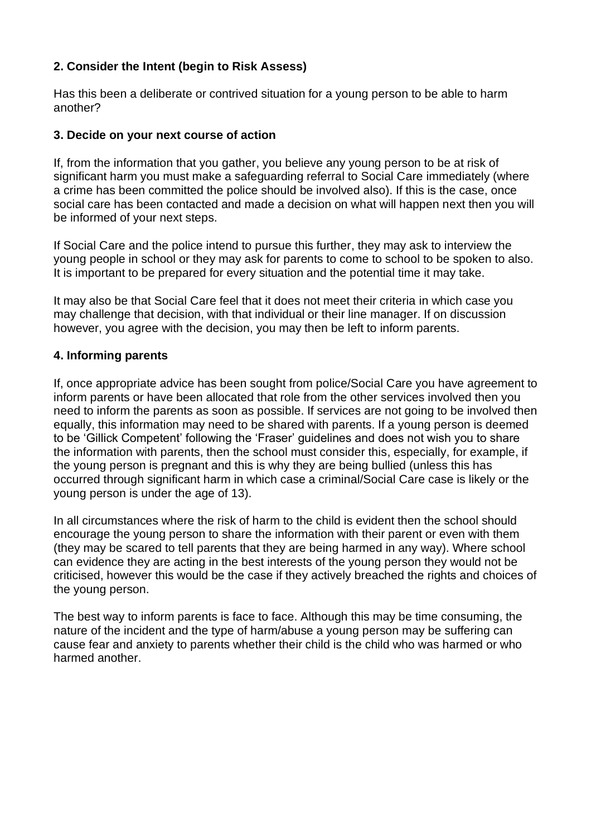# **2. Consider the Intent (begin to Risk Assess)**

Has this been a deliberate or contrived situation for a young person to be able to harm another?

#### **3. Decide on your next course of action**

If, from the information that you gather, you believe any young person to be at risk of significant harm you must make a safeguarding referral to Social Care immediately (where a crime has been committed the police should be involved also). If this is the case, once social care has been contacted and made a decision on what will happen next then you will be informed of your next steps.

If Social Care and the police intend to pursue this further, they may ask to interview the young people in school or they may ask for parents to come to school to be spoken to also. It is important to be prepared for every situation and the potential time it may take.

It may also be that Social Care feel that it does not meet their criteria in which case you may challenge that decision, with that individual or their line manager. If on discussion however, you agree with the decision, you may then be left to inform parents.

#### **4. Informing parents**

If, once appropriate advice has been sought from police/Social Care you have agreement to inform parents or have been allocated that role from the other services involved then you need to inform the parents as soon as possible. If services are not going to be involved then equally, this information may need to be shared with parents. If a young person is deemed to be 'Gillick Competent' following the 'Fraser' guidelines and does not wish you to share the information with parents, then the school must consider this, especially, for example, if the young person is pregnant and this is why they are being bullied (unless this has occurred through significant harm in which case a criminal/Social Care case is likely or the young person is under the age of 13).

In all circumstances where the risk of harm to the child is evident then the school should encourage the young person to share the information with their parent or even with them (they may be scared to tell parents that they are being harmed in any way). Where school can evidence they are acting in the best interests of the young person they would not be criticised, however this would be the case if they actively breached the rights and choices of the young person.

The best way to inform parents is face to face. Although this may be time consuming, the nature of the incident and the type of harm/abuse a young person may be suffering can cause fear and anxiety to parents whether their child is the child who was harmed or who harmed another.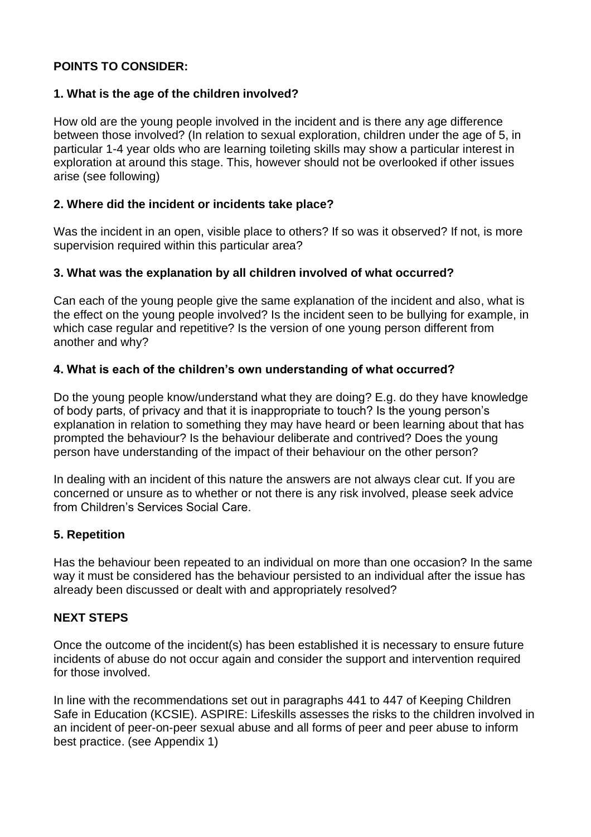### **POINTS TO CONSIDER:**

#### **1. What is the age of the children involved?**

How old are the young people involved in the incident and is there any age difference between those involved? (In relation to sexual exploration, children under the age of 5, in particular 1-4 year olds who are learning toileting skills may show a particular interest in exploration at around this stage. This, however should not be overlooked if other issues arise (see following)

#### **2. Where did the incident or incidents take place?**

Was the incident in an open, visible place to others? If so was it observed? If not, is more supervision required within this particular area?

#### **3. What was the explanation by all children involved of what occurred?**

Can each of the young people give the same explanation of the incident and also, what is the effect on the young people involved? Is the incident seen to be bullying for example, in which case regular and repetitive? Is the version of one young person different from another and why?

#### **4. What is each of the children's own understanding of what occurred?**

Do the young people know/understand what they are doing? E.g. do they have knowledge of body parts, of privacy and that it is inappropriate to touch? Is the young person's explanation in relation to something they may have heard or been learning about that has prompted the behaviour? Is the behaviour deliberate and contrived? Does the young person have understanding of the impact of their behaviour on the other person?

In dealing with an incident of this nature the answers are not always clear cut. If you are concerned or unsure as to whether or not there is any risk involved, please seek advice from Children's Services Social Care.

#### **5. Repetition**

Has the behaviour been repeated to an individual on more than one occasion? In the same way it must be considered has the behaviour persisted to an individual after the issue has already been discussed or dealt with and appropriately resolved?

#### **NEXT STEPS**

Once the outcome of the incident(s) has been established it is necessary to ensure future incidents of abuse do not occur again and consider the support and intervention required for those involved.

In line with the recommendations set out in paragraphs 441 to 447 of Keeping Children Safe in Education (KCSIE). ASPIRE: Lifeskills assesses the risks to the children involved in an incident of peer-on-peer sexual abuse and all forms of peer and peer abuse to inform best practice. (see Appendix 1)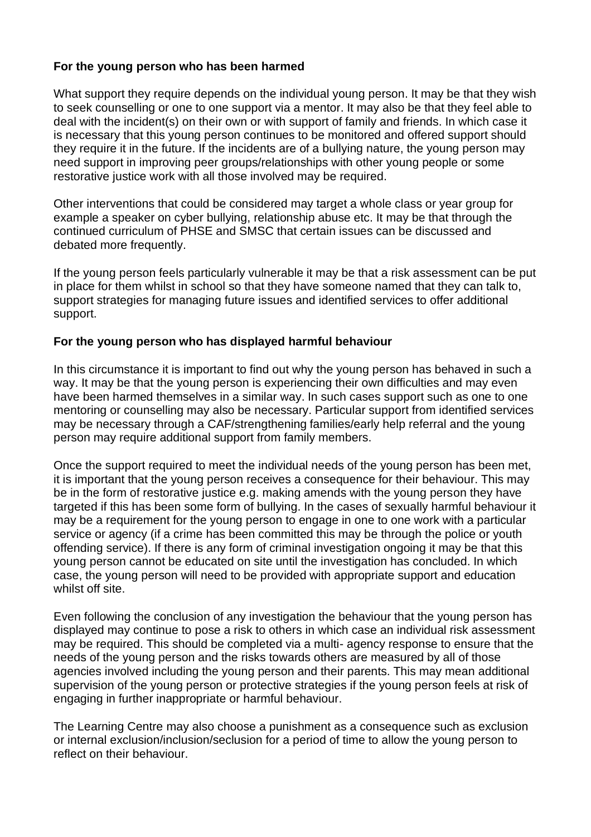#### **For the young person who has been harmed**

What support they require depends on the individual young person. It may be that they wish to seek counselling or one to one support via a mentor. It may also be that they feel able to deal with the incident(s) on their own or with support of family and friends. In which case it is necessary that this young person continues to be monitored and offered support should they require it in the future. If the incidents are of a bullying nature, the young person may need support in improving peer groups/relationships with other young people or some restorative justice work with all those involved may be required.

Other interventions that could be considered may target a whole class or year group for example a speaker on cyber bullying, relationship abuse etc. It may be that through the continued curriculum of PHSE and SMSC that certain issues can be discussed and debated more frequently.

If the young person feels particularly vulnerable it may be that a risk assessment can be put in place for them whilst in school so that they have someone named that they can talk to, support strategies for managing future issues and identified services to offer additional support.

#### **For the young person who has displayed harmful behaviour**

In this circumstance it is important to find out why the young person has behaved in such a way. It may be that the young person is experiencing their own difficulties and may even have been harmed themselves in a similar way. In such cases support such as one to one mentoring or counselling may also be necessary. Particular support from identified services may be necessary through a CAF/strengthening families/early help referral and the young person may require additional support from family members.

Once the support required to meet the individual needs of the young person has been met, it is important that the young person receives a consequence for their behaviour. This may be in the form of restorative justice e.g. making amends with the young person they have targeted if this has been some form of bullying. In the cases of sexually harmful behaviour it may be a requirement for the young person to engage in one to one work with a particular service or agency (if a crime has been committed this may be through the police or youth offending service). If there is any form of criminal investigation ongoing it may be that this young person cannot be educated on site until the investigation has concluded. In which case, the young person will need to be provided with appropriate support and education whilst off site.

Even following the conclusion of any investigation the behaviour that the young person has displayed may continue to pose a risk to others in which case an individual risk assessment may be required. This should be completed via a multi- agency response to ensure that the needs of the young person and the risks towards others are measured by all of those agencies involved including the young person and their parents. This may mean additional supervision of the young person or protective strategies if the young person feels at risk of engaging in further inappropriate or harmful behaviour.

The Learning Centre may also choose a punishment as a consequence such as exclusion or internal exclusion/inclusion/seclusion for a period of time to allow the young person to reflect on their behaviour.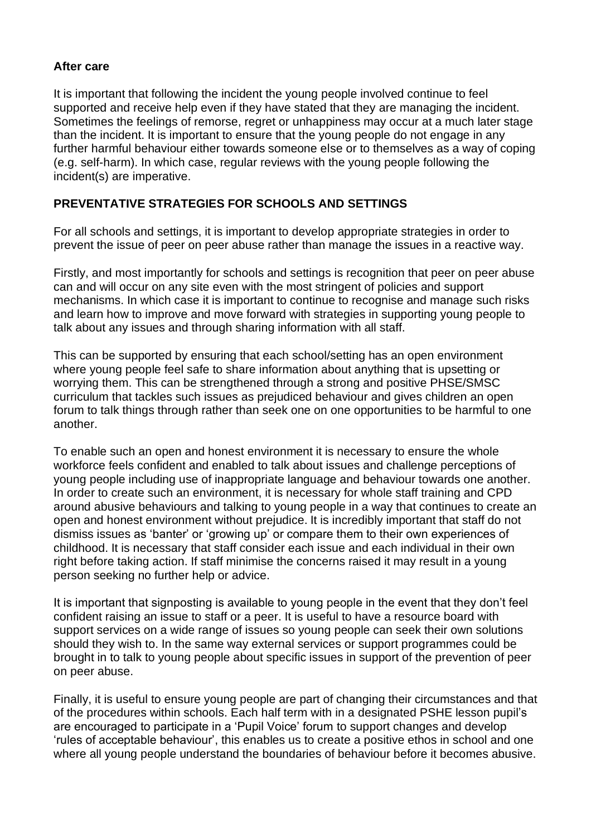#### **After care**

It is important that following the incident the young people involved continue to feel supported and receive help even if they have stated that they are managing the incident. Sometimes the feelings of remorse, regret or unhappiness may occur at a much later stage than the incident. It is important to ensure that the young people do not engage in any further harmful behaviour either towards someone else or to themselves as a way of coping (e.g. self-harm). In which case, regular reviews with the young people following the incident(s) are imperative.

# **PREVENTATIVE STRATEGIES FOR SCHOOLS AND SETTINGS**

For all schools and settings, it is important to develop appropriate strategies in order to prevent the issue of peer on peer abuse rather than manage the issues in a reactive way.

Firstly, and most importantly for schools and settings is recognition that peer on peer abuse can and will occur on any site even with the most stringent of policies and support mechanisms. In which case it is important to continue to recognise and manage such risks and learn how to improve and move forward with strategies in supporting young people to talk about any issues and through sharing information with all staff.

This can be supported by ensuring that each school/setting has an open environment where young people feel safe to share information about anything that is upsetting or worrying them. This can be strengthened through a strong and positive PHSE/SMSC curriculum that tackles such issues as prejudiced behaviour and gives children an open forum to talk things through rather than seek one on one opportunities to be harmful to one another.

To enable such an open and honest environment it is necessary to ensure the whole workforce feels confident and enabled to talk about issues and challenge perceptions of young people including use of inappropriate language and behaviour towards one another. In order to create such an environment, it is necessary for whole staff training and CPD around abusive behaviours and talking to young people in a way that continues to create an open and honest environment without prejudice. It is incredibly important that staff do not dismiss issues as 'banter' or 'growing up' or compare them to their own experiences of childhood. It is necessary that staff consider each issue and each individual in their own right before taking action. If staff minimise the concerns raised it may result in a young person seeking no further help or advice.

It is important that signposting is available to young people in the event that they don't feel confident raising an issue to staff or a peer. It is useful to have a resource board with support services on a wide range of issues so young people can seek their own solutions should they wish to. In the same way external services or support programmes could be brought in to talk to young people about specific issues in support of the prevention of peer on peer abuse.

Finally, it is useful to ensure young people are part of changing their circumstances and that of the procedures within schools. Each half term with in a designated PSHE lesson pupil's are encouraged to participate in a 'Pupil Voice' forum to support changes and develop 'rules of acceptable behaviour', this enables us to create a positive ethos in school and one where all young people understand the boundaries of behaviour before it becomes abusive.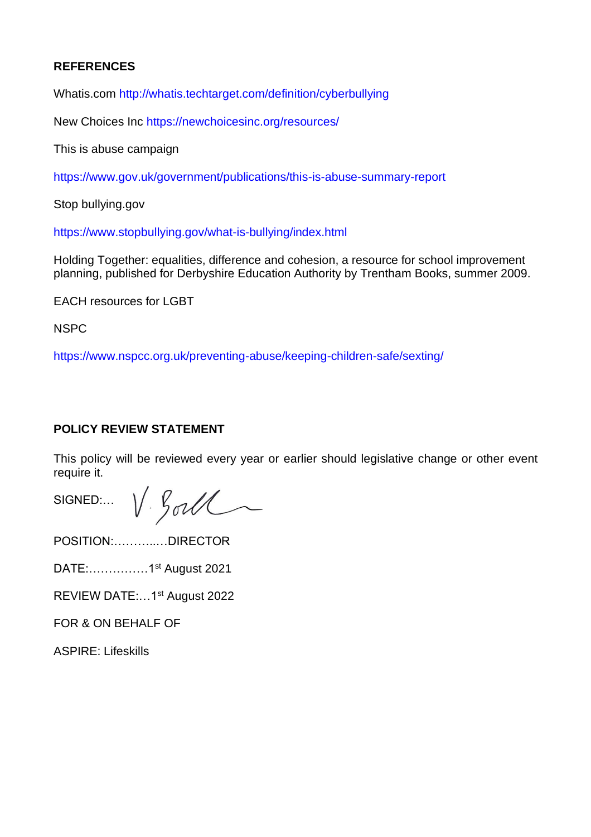### **REFERENCES**

Whatis.com http://whatis.techtarget.com/definition/cyberbullying

New Choices Inc https://newchoicesinc.org/resources/

This is abuse campaign

https://www.gov.uk/government/publications/this-is-abuse-summary-report

Stop bullying.gov

https://www.stopbullying.gov/what-is-bullying/index.html

Holding Together: equalities, difference and cohesion, a resource for school improvement planning, published for Derbyshire Education Authority by Trentham Books, summer 2009.

EACH resources for LGBT

NSPC

https://www.nspcc.org.uk/preventing-abuse/keeping-children-safe/sexting/

#### **POLICY REVIEW STATEMENT**

This policy will be reviewed every year or earlier should legislative change or other event require it.

SIGNED:  $V. \mathcal{G}olU$ 

POSITION:………..…DIRECTOR

DATE:……………1st August 2021

REVIEW DATE:…1st August 2022

FOR & ON BEHALF OF

ASPIRE: Lifeskills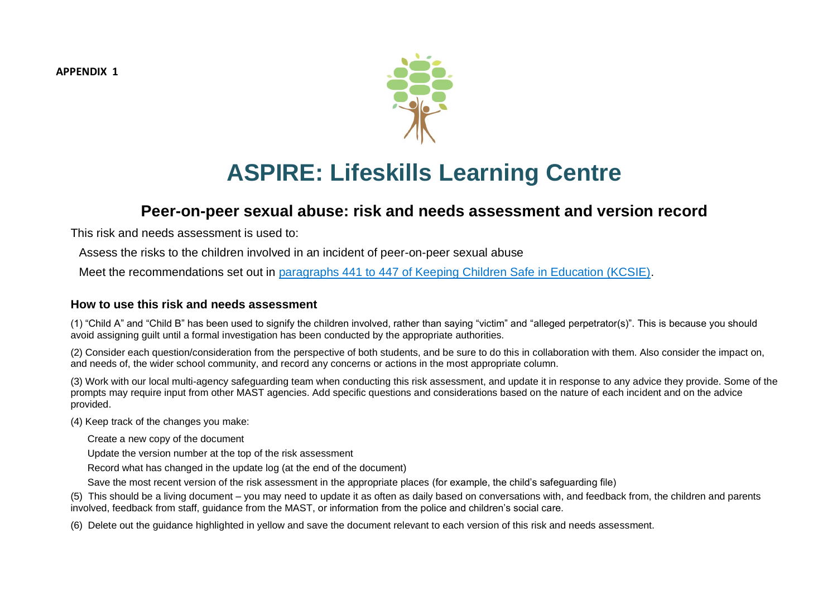**APPENDIX 1**



# **ASPIRE: Lifeskills Learning Centre**

# **Peer-on-peer sexual abuse: risk and needs assessment and version record**

This risk and needs assessment is used to:

Assess the risks to the children involved in an incident of peer-on-peer sexual abuse

Meet the recommendations set out in paragraphs 441 to 447 of Keeping Children Safe in Education (KCSIE).

#### **How to use this risk and needs assessment**

(1) "Child A" and "Child B" has been used to signify the children involved, rather than saying "victim" and "alleged perpetrator(s)". This is because you should avoid assigning guilt until a formal investigation has been conducted by the appropriate authorities.

(2) Consider each question/consideration from the perspective of both students, and be sure to do this in collaboration with them. Also consider the impact on, and needs of, the wider school community, and record any concerns or actions in the most appropriate column.

(3) Work with our local multi-agency safeguarding team when conducting this risk assessment, and update it in response to any advice they provide. Some of the prompts may require input from other MAST agencies. Add specific questions and considerations based on the nature of each incident and on the advice provided.

(4) Keep track of the changes you make:

Create a new copy of the document

Update the version number at the top of the risk assessment

Record what has changed in the update log (at the end of the document)

Save the most recent version of the risk assessment in the appropriate places (for example, the child's safeguarding file)

(5) This should be a living document – you may need to update it as often as daily based on conversations with, and feedback from, the children and parents involved, feedback from staff, guidance from the MAST, or information from the police and children's social care.

(6) Delete out the guidance highlighted in yellow and save the document relevant to each version of this risk and needs assessment.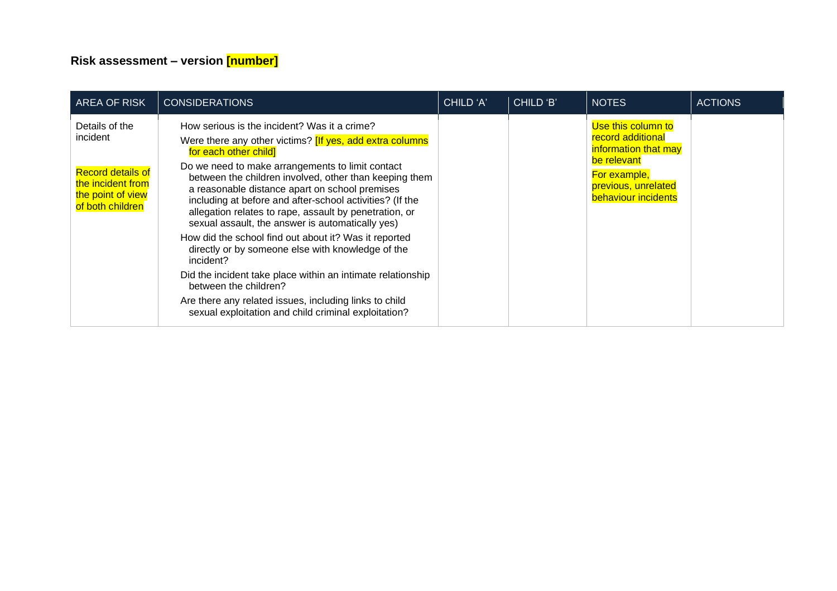# **Risk assessment – version [number]**

| <b>AREA OF RISK</b>                                                                    | <b>CONSIDERATIONS</b>                                                                                                                                                                                                                                                                                                                  | CHILD 'A' | CHILD 'B' | <b>NOTES</b>                                                              | <b>ACTIONS</b> |
|----------------------------------------------------------------------------------------|----------------------------------------------------------------------------------------------------------------------------------------------------------------------------------------------------------------------------------------------------------------------------------------------------------------------------------------|-----------|-----------|---------------------------------------------------------------------------|----------------|
| Details of the<br>incident                                                             | How serious is the incident? Was it a crime?<br>Were there any other victims? [If yes, add extra columns<br>for each other child]                                                                                                                                                                                                      |           |           | Use this column to<br><b>record additional</b><br>information that may    |                |
| <b>Record details of</b><br>the incident from<br>the point of view<br>of both children | Do we need to make arrangements to limit contact<br>between the children involved, other than keeping them<br>a reasonable distance apart on school premises<br>including at before and after-school activities? (If the<br>allegation relates to rape, assault by penetration, or<br>sexual assault, the answer is automatically yes) |           |           | be relevant<br>For example,<br>previous, unrelated<br>behaviour incidents |                |
|                                                                                        | How did the school find out about it? Was it reported<br>directly or by someone else with knowledge of the<br>incident?                                                                                                                                                                                                                |           |           |                                                                           |                |
|                                                                                        | Did the incident take place within an intimate relationship<br>between the children?                                                                                                                                                                                                                                                   |           |           |                                                                           |                |
|                                                                                        | Are there any related issues, including links to child<br>sexual exploitation and child criminal exploitation?                                                                                                                                                                                                                         |           |           |                                                                           |                |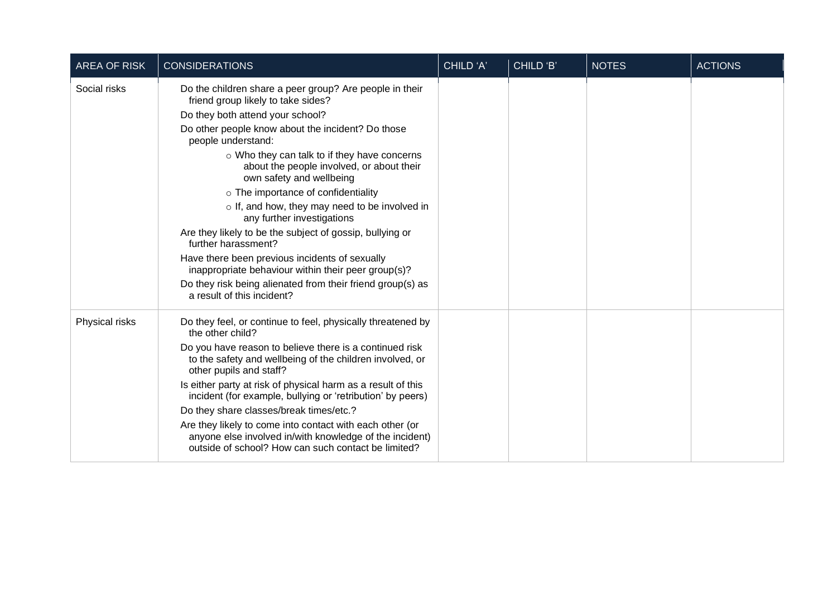| <b>AREA OF RISK</b> | <b>CONSIDERATIONS</b>                                                                                                                                                                                                                                                                                                                                                                                                                                                                                                                                                                                                                                                                                                                                      | CHILD 'A' | CHILD 'B' | <b>NOTES</b> | <b>ACTIONS</b> |
|---------------------|------------------------------------------------------------------------------------------------------------------------------------------------------------------------------------------------------------------------------------------------------------------------------------------------------------------------------------------------------------------------------------------------------------------------------------------------------------------------------------------------------------------------------------------------------------------------------------------------------------------------------------------------------------------------------------------------------------------------------------------------------------|-----------|-----------|--------------|----------------|
| Social risks        | Do the children share a peer group? Are people in their<br>friend group likely to take sides?<br>Do they both attend your school?<br>Do other people know about the incident? Do those<br>people understand:<br>○ Who they can talk to if they have concerns<br>about the people involved, or about their<br>own safety and wellbeing<br>o The importance of confidentiality<br>$\circ$ If, and how, they may need to be involved in<br>any further investigations<br>Are they likely to be the subject of gossip, bullying or<br>further harassment?<br>Have there been previous incidents of sexually<br>inappropriate behaviour within their peer group(s)?<br>Do they risk being alienated from their friend group(s) as<br>a result of this incident? |           |           |              |                |
| Physical risks      | Do they feel, or continue to feel, physically threatened by<br>the other child?<br>Do you have reason to believe there is a continued risk<br>to the safety and wellbeing of the children involved, or<br>other pupils and staff?<br>Is either party at risk of physical harm as a result of this<br>incident (for example, bullying or 'retribution' by peers)<br>Do they share classes/break times/etc.?<br>Are they likely to come into contact with each other (or<br>anyone else involved in/with knowledge of the incident)<br>outside of school? How can such contact be limited?                                                                                                                                                                   |           |           |              |                |